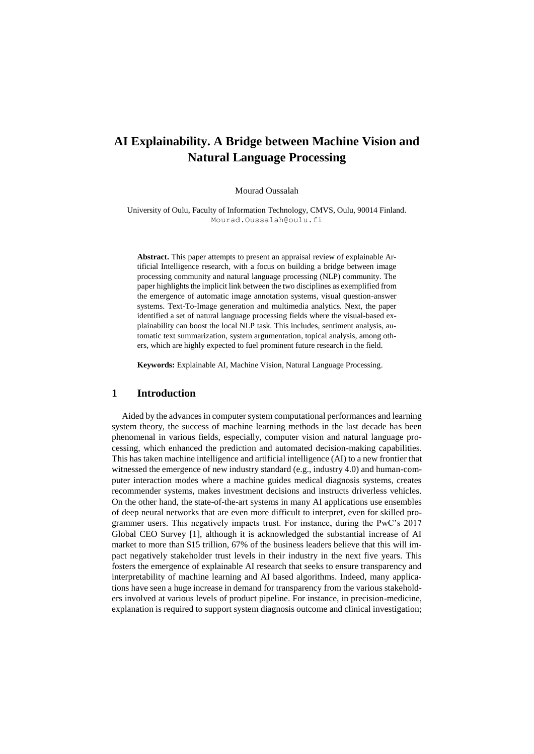# **AI Explainability. A Bridge between Machine Vision and Natural Language Processing**

### Mourad Oussalah

University of Oulu, Faculty of Information Technology, CMVS, Oulu, 90014 Finland. [Mourad.Oussalah@oulu.fi](mailto:Mourad.Oussalah@oulu.fi)

**Abstract.** This paper attempts to present an appraisal review of explainable Artificial Intelligence research, with a focus on building a bridge between image processing community and natural language processing (NLP) community. The paper highlights the implicit link between the two disciplines as exemplified from the emergence of automatic image annotation systems, visual question-answer systems. Text-To-Image generation and multimedia analytics. Next, the paper identified a set of natural language processing fields where the visual-based explainability can boost the local NLP task. This includes, sentiment analysis, automatic text summarization, system argumentation, topical analysis, among others, which are highly expected to fuel prominent future research in the field.

**Keywords:** Explainable AI, Machine Vision, Natural Language Processing.

### **1 Introduction**

Aided by the advances in computer system computational performances and learning system theory, the success of machine learning methods in the last decade has been phenomenal in various fields, especially, computer vision and natural language processing, which enhanced the prediction and automated decision-making capabilities. This has taken machine intelligence and artificial intelligence (AI) to a new frontier that witnessed the emergence of new industry standard (e.g., industry 4.0) and human-computer interaction modes where a machine guides medical diagnosis systems, creates recommender systems, makes investment decisions and instructs driverless vehicles. On the other hand, the state-of-the-art systems in many AI applications use ensembles of deep neural networks that are even more difficult to interpret, even for skilled programmer users. This negatively impacts trust. For instance, during the PwC's 2017 Global CEO Survey [1], although it is acknowledged the substantial increase of AI market to more than \$15 trillion, 67% of the business leaders believe that this will impact negatively stakeholder trust levels in their industry in the next five years. This fosters the emergence of explainable AI research that seeks to ensure transparency and interpretability of machine learning and AI based algorithms. Indeed, many applications have seen a huge increase in demand for transparency from the various stakeholders involved at various levels of product pipeline. For instance, in precision-medicine, explanation is required to support system diagnosis outcome and clinical investigation;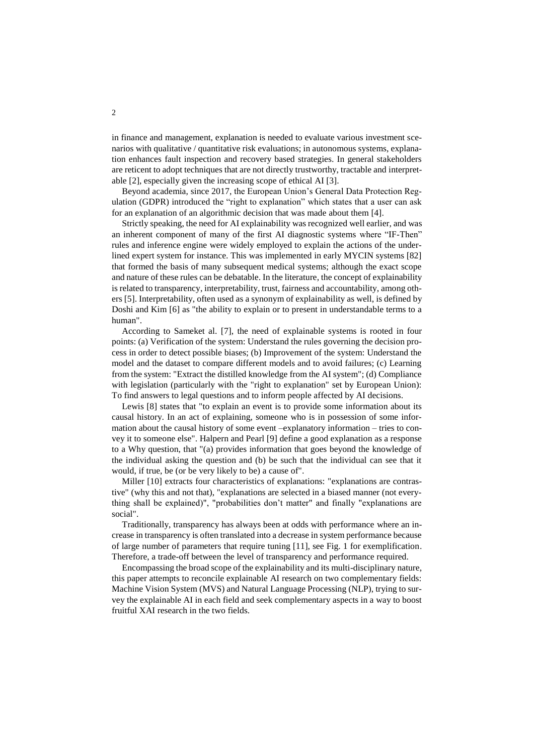in finance and management, explanation is needed to evaluate various investment scenarios with qualitative / quantitative risk evaluations; in autonomous systems, explanation enhances fault inspection and recovery based strategies. In general stakeholders are reticent to adopt techniques that are not directly trustworthy, tractable and interpretable [2], especially given the increasing scope of ethical AI [3].

Beyond academia, since 2017, the European Union's General Data Protection Regulation (GDPR) introduced the "right to explanation" which states that a user can ask for an explanation of an algorithmic decision that was made about them [4].

Strictly speaking, the need for AI explainability was recognized well earlier, and was an inherent component of many of the first AI diagnostic systems where "IF-Then" rules and inference engine were widely employed to explain the actions of the underlined expert system for instance. This was implemented in early MYCIN systems [82] that formed the basis of many subsequent medical systems; although the exact scope and nature of these rules can be debatable. In the literature, the concept of explainability is related to transparency, interpretability, trust, fairness and accountability, among others [5]. Interpretability, often used as a synonym of explainability as well, is defined by Doshi and Kim [6] as "the ability to explain or to present in understandable terms to a human".

According to Sameket al. [7], the need of explainable systems is rooted in four points: (a) Verification of the system: Understand the rules governing the decision process in order to detect possible biases; (b) Improvement of the system: Understand the model and the dataset to compare different models and to avoid failures; (c) Learning from the system: "Extract the distilled knowledge from the AI system"; (d) Compliance with legislation (particularly with the "right to explanation" set by European Union): To find answers to legal questions and to inform people affected by AI decisions.

Lewis [8] states that "to explain an event is to provide some information about its causal history. In an act of explaining, someone who is in possession of some information about the causal history of some event –explanatory information – tries to convey it to someone else". Halpern and Pearl [9] define a good explanation as a response to a Why question, that "(a) provides information that goes beyond the knowledge of the individual asking the question and (b) be such that the individual can see that it would, if true, be (or be very likely to be) a cause of".

Miller [10] extracts four characteristics of explanations: "explanations are contrastive" (why this and not that), "explanations are selected in a biased manner (not everything shall be explained)", "probabilities don't matter" and finally "explanations are social".

Traditionally, transparency has always been at odds with performance where an increase in transparency is often translated into a decrease in system performance because of large number of parameters that require tuning [11], see Fig. 1 for exemplification. Therefore, a trade-off between the level of transparency and performance required.

Encompassing the broad scope of the explainability and its multi-disciplinary nature, this paper attempts to reconcile explainable AI research on two complementary fields: Machine Vision System (MVS) and Natural Language Processing (NLP), trying to survey the explainable AI in each field and seek complementary aspects in a way to boost fruitful XAI research in the two fields.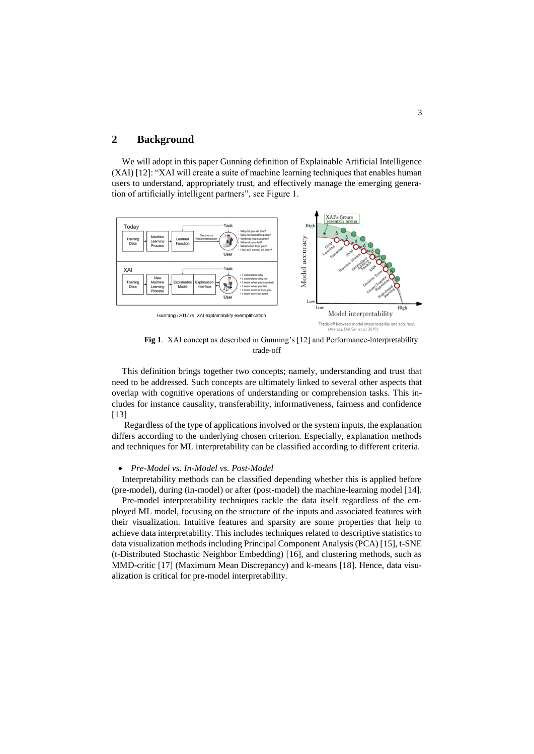# **2 Background**

We will adopt in this paper Gunning definition of Explainable Artificial Intelligence (XAI) [12]: "XAI will create a suite of machine learning techniques that enables human users to understand, appropriately trust, and effectively manage the emerging generation of artificially intelligent partners", see Figure 1.



 **Fig 1**. XAI concept as described in Gunning's [12] and Performance-interpretability trade-off

This definition brings together two concepts; namely, understanding and trust that need to be addressed. Such concepts are ultimately linked to several other aspects that overlap with cognitive operations of understanding or comprehension tasks. This includes for instance causality, transferability, informativeness, fairness and confidence [13]

Regardless of the type of applications involved or the system inputs, the explanation differs according to the underlying chosen criterion. Especially, explanation methods and techniques for ML interpretability can be classified according to different criteria.

### *Pre-Model vs. In-Model vs. Post-Model*

Interpretability methods can be classified depending whether this is applied before (pre-model), during (in-model) or after (post-model) the machine-learning model [14].

Pre-model interpretability techniques tackle the data itself regardless of the employed ML model, focusing on the structure of the inputs and associated features with their visualization. Intuitive features and sparsity are some properties that help to achieve data interpretability. This includes techniques related to descriptive statistics to data visualization methods including Principal Component Analysis (PCA) [15], t-SNE (t-Distributed Stochastic Neighbor Embedding) [16], and clustering methods, such as MMD-critic [17] (Maximum Mean Discrepancy) and k-means [18]. Hence, data visualization is critical for pre-model interpretability.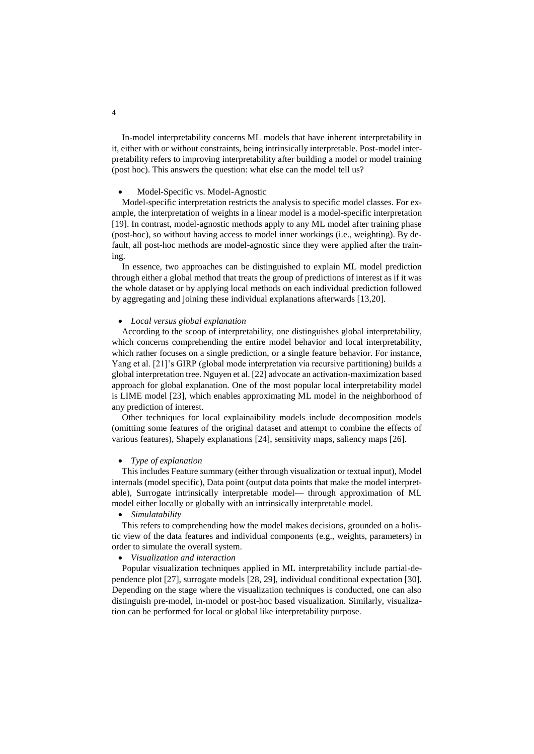In-model interpretability concerns ML models that have inherent interpretability in it, either with or without constraints, being intrinsically interpretable. Post-model interpretability refers to improving interpretability after building a model or model training (post hoc). This answers the question: what else can the model tell us?

### Model-Specific vs. Model-Agnostic

Model-specific interpretation restricts the analysis to specific model classes. For example, the interpretation of weights in a linear model is a model-specific interpretation [19]. In contrast, model-agnostic methods apply to any ML model after training phase (post-hoc), so without having access to model inner workings (i.e., weighting). By default, all post-hoc methods are model-agnostic since they were applied after the training.

In essence, two approaches can be distinguished to explain ML model prediction through either a global method that treats the group of predictions of interest as if it was the whole dataset or by applying local methods on each individual prediction followed by aggregating and joining these individual explanations afterwards [13,20].

#### *Local versus global explanation*

According to the scoop of interpretability, one distinguishes global interpretability, which concerns comprehending the entire model behavior and local interpretability, which rather focuses on a single prediction, or a single feature behavior. For instance, Yang et al. [21]'s GIRP (global mode interpretation via recursive partitioning) builds a global interpretation tree. Nguyen et al. [22] advocate an activation-maximization based approach for global explanation. One of the most popular local interpretability model is LIME model [23], which enables approximating ML model in the neighborhood of any prediction of interest.

Other techniques for local explainaibility models include decomposition models (omitting some features of the original dataset and attempt to combine the effects of various features), Shapely explanations [24], sensitivity maps, saliency maps [26].

#### *Type of explanation*

This includes Feature summary (either through visualization or textual input), Model internals (model specific), Data point (output data points that make the model interpretable), Surrogate intrinsically interpretable model— through approximation of ML model either locally or globally with an intrinsically interpretable model.

#### *Simulatability*

This refers to comprehending how the model makes decisions, grounded on a holistic view of the data features and individual components (e.g., weights, parameters) in order to simulate the overall system.

#### *Visualization and interaction*

Popular visualization techniques applied in ML interpretability include partial-dependence plot [27], surrogate models [28, 29], individual conditional expectation [30]. Depending on the stage where the visualization techniques is conducted, one can also distinguish pre-model, in-model or post-hoc based visualization. Similarly, visualization can be performed for local or global like interpretability purpose.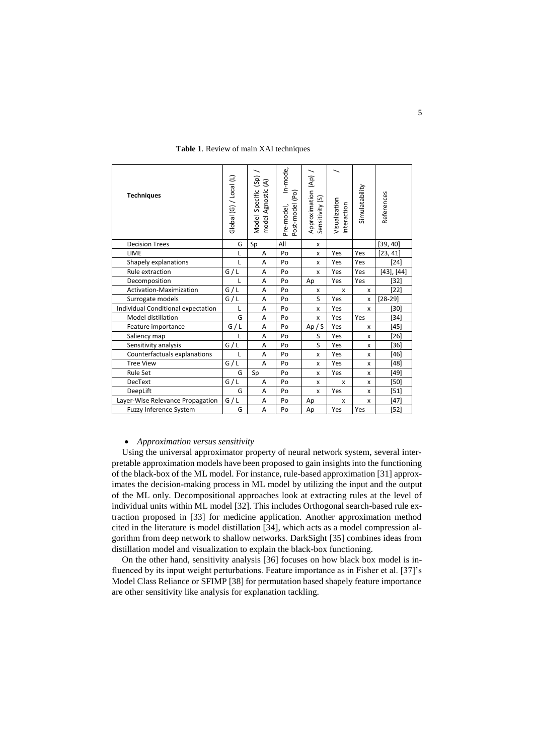| <b>Techniques</b>                  | Global (G) / Local (L) | Specific (Sp)<br>€<br>model Agnostic<br>Model | In-mode,<br>(Po)<br>Post-model<br>Pre-model, | Approximation (Ap)<br>Sensitivity (S) | Visualization<br>nteraction | Simulatability | References      |
|------------------------------------|------------------------|-----------------------------------------------|----------------------------------------------|---------------------------------------|-----------------------------|----------------|-----------------|
| <b>Decision Trees</b>              | G                      | Sp                                            | All                                          | X                                     |                             |                | [39, 40]        |
| LIME                               | L                      | A                                             | Po                                           | $\boldsymbol{\mathsf{x}}$             | Yes                         | Yes            | [23, 41]        |
| Shapely explanations               | L                      | A                                             | Po                                           | X                                     | Yes                         | Yes            | $[24]$          |
| Rule extraction                    | G/L                    | A                                             | Po                                           | X                                     | Yes                         | Yes            | $[43]$ , $[44]$ |
| Decomposition                      | L                      | A                                             | Po                                           | Ap                                    | Yes                         | Yes            | $[32]$          |
| Activation-Maximization            | G/L                    | A                                             | Po                                           | x                                     | X                           | X              | $[22]$          |
| Surrogate models                   | G/L                    | A                                             | Po                                           | S                                     | Yes                         | x              | $[28-29]$       |
| Individual Conditional expectation | L                      | A                                             | Po                                           | x                                     | Yes                         | x              | [30]            |
| Model distillation                 | G                      | A                                             | Po                                           | x                                     | Yes                         | Yes            | $[34]$          |
| Feature importance                 | G/L                    | A                                             | Po                                           | Ap/S                                  | Yes                         | X              | $[45]$          |
| Saliency map                       | L                      | A                                             | Po                                           | S                                     | Yes                         | x              | $[26]$          |
| Sensitivity analysis               | G/L                    | A                                             | Po                                           | S                                     | Yes                         | x              | $[36]$          |
| Counterfactuals explanations       | L                      | Α                                             | Po                                           | X                                     | Yes                         | x              | [46]            |
| <b>Tree View</b>                   | G/L                    | A                                             | Po                                           | x                                     | Yes                         | X              | $[48]$          |
| <b>Rule Set</b>                    | G                      | Sp                                            | Po                                           | X                                     | Yes                         | X              | [49]            |
| <b>DecText</b>                     | G/L                    | A                                             | Po                                           | X                                     | $\mathsf{x}$                | x              | $[50]$          |
| DeepLift                           | G                      | A                                             | Po                                           | x                                     | Yes                         | x              | $[51]$          |
| Layer-Wise Relevance Propagation   | G/L                    | Α                                             | Po                                           | Ap                                    | x                           | x              | $[47]$          |
| Fuzzy Inference System             | G                      | A                                             | Po                                           | Ap                                    | Yes                         | Yes            | $[52]$          |

### **Table 1**. Review of main XAI techniques

#### *Approximation versus sensitivity*

Using the universal approximator property of neural network system, several interpretable approximation models have been proposed to gain insights into the functioning of the black-box of the ML model. For instance, rule-based approximation [31] approximates the decision-making process in ML model by utilizing the input and the output of the ML only. Decompositional approaches look at extracting rules at the level of individual units within ML model [32]. This includes Orthogonal search-based rule extraction proposed in [33] for medicine application. Another approximation method cited in the literature is model distillation [34], which acts as a model compression algorithm from deep network to shallow networks. DarkSight [35] combines ideas from distillation model and visualization to explain the black-box functioning.

On the other hand, sensitivity analysis [36] focuses on how black box model is influenced by its input weight perturbations. Feature importance as in Fisher et al. [37]'s Model Class Reliance or SFIMP [38] for permutation based shapely feature importance are other sensitivity like analysis for explanation tackling.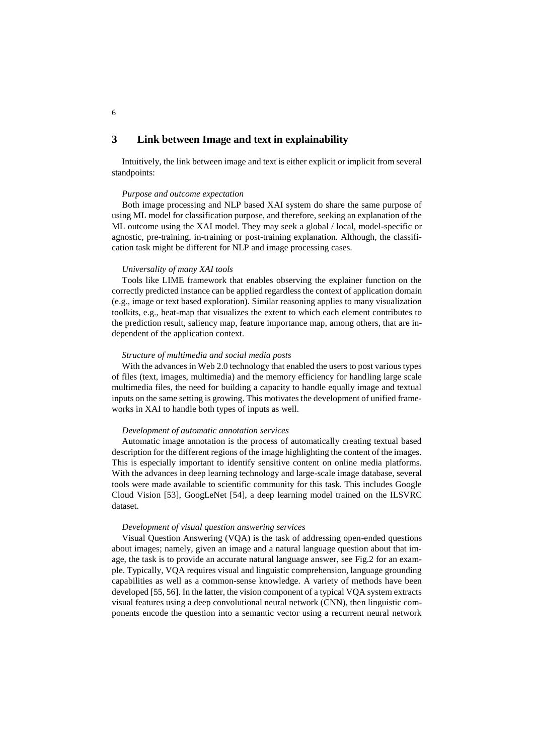# **3 Link between Image and text in explainability**

Intuitively, the link between image and text is either explicit or implicit from several standpoints:

### *Purpose and outcome expectation*

Both image processing and NLP based XAI system do share the same purpose of using ML model for classification purpose, and therefore, seeking an explanation of the ML outcome using the XAI model. They may seek a global / local, model-specific or agnostic, pre-training, in-training or post-training explanation. Although, the classification task might be different for NLP and image processing cases.

### *Universality of many XAI tools*

Tools like LIME framework that enables observing the explainer function on the correctly predicted instance can be applied regardless the context of application domain (e.g., image or text based exploration). Similar reasoning applies to many visualization toolkits, e.g., heat-map that visualizes the extent to which each element contributes to the prediction result, saliency map, feature importance map, among others, that are independent of the application context.

#### *Structure of multimedia and social media posts*

With the advances in Web 2.0 technology that enabled the users to post various types of files (text, images, multimedia) and the memory efficiency for handling large scale multimedia files, the need for building a capacity to handle equally image and textual inputs on the same setting is growing. This motivates the development of unified frameworks in XAI to handle both types of inputs as well.

### *Development of automatic annotation services*

Automatic image annotation is the process of automatically creating textual based description for the different regions of the image highlighting the content of the images. This is especially important to identify sensitive content on online media platforms. With the advances in deep learning technology and large-scale image database, several tools were made available to scientific community for this task. This includes Google Cloud Vision [53], GoogLeNet [54], a deep learning model trained on the ILSVRC dataset.

### *Development of visual question answering services*

Visual Question Answering (VQA) is the task of addressing open-ended questions about images; namely, given an image and a natural language question about that image, the task is to provide an accurate natural language answer, see Fig.2 for an example. Typically, VQA requires visual and linguistic comprehension, language grounding capabilities as well as a common-sense knowledge. A variety of methods have been developed [55, 56]. In the latter, the vision component of a typical VQA system extracts visual features using a deep convolutional neural network (CNN), then linguistic components encode the question into a semantic vector using a recurrent neural network

6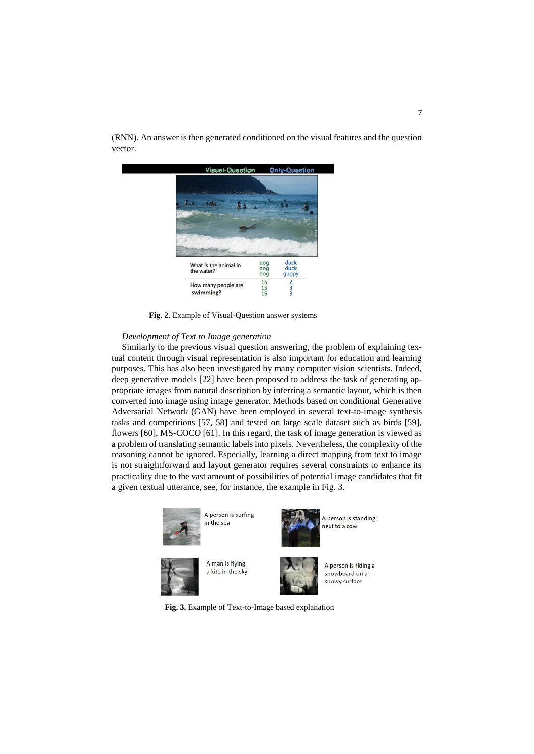(RNN). An answer is then generated conditioned on the visual features and the question vector.



**Fig. 2**. Example of Visual-Question answer systems

### *Development of Text to Image generation*

Similarly to the previous visual question answering, the problem of explaining textual content through visual representation is also important for education and learning purposes. This has also been investigated by many computer vision scientists. Indeed, deep generative models [22] have been proposed to address the task of generating appropriate images from natural description by inferring a semantic layout, which is then converted into image using image generator. Methods based on conditional Generative Adversarial Network (GAN) have been employed in several text-to-image synthesis tasks and competitions [57, 58] and tested on large scale dataset such as birds [59], flowers [60], MS-COCO [61]. In this regard, the task of image generation is viewed as a problem of translating semantic labels into pixels. Nevertheless, the complexity of the reasoning cannot be ignored. Especially, learning a direct mapping from text to image is not straightforward and layout generator requires several constraints to enhance its practicality due to the vast amount of possibilities of potential image candidates that fit a given textual utterance, see, for instance, the example in Fig. 3.



A person is surfing in the sea



A person is standing next to a cow



A man is flying a kite in the sky



A person is riding a snowboard on a snowy surface

**Fig. 3.** Example of Text-to-Image based explanation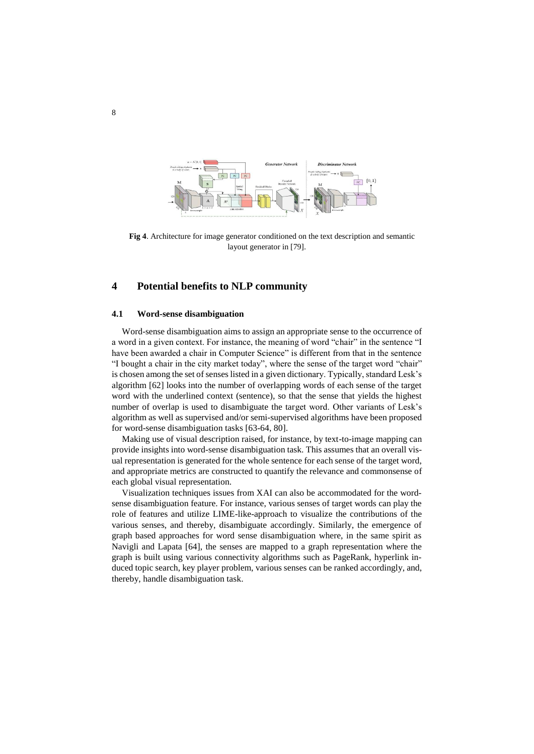

**Fig 4**. Architecture for image generator conditioned on the text description and semantic layout generator in [79].

## **4 Potential benefits to NLP community**

### **4.1 Word-sense disambiguation**

Word-sense disambiguation aims to assign an appropriate sense to the occurrence of a word in a given context. For instance, the meaning of word "chair" in the sentence "I have been awarded a chair in Computer Science" is different from that in the sentence "I bought a chair in the city market today", where the sense of the target word "chair" is chosen among the set of senses listed in a given dictionary. Typically, standard Lesk's algorithm [62] looks into the number of overlapping words of each sense of the target word with the underlined context (sentence), so that the sense that yields the highest number of overlap is used to disambiguate the target word. Other variants of Lesk's algorithm as well as supervised and/or semi-supervised algorithms have been proposed for word-sense disambiguation tasks [63-64, 80].

Making use of visual description raised, for instance, by text-to-image mapping can provide insights into word-sense disambiguation task. This assumes that an overall visual representation is generated for the whole sentence for each sense of the target word, and appropriate metrics are constructed to quantify the relevance and commonsense of each global visual representation.

Visualization techniques issues from XAI can also be accommodated for the wordsense disambiguation feature. For instance, various senses of target words can play the role of features and utilize LIME-like-approach to visualize the contributions of the various senses, and thereby, disambiguate accordingly. Similarly, the emergence of graph based approaches for word sense disambiguation where, in the same spirit as Navigli and Lapata [64], the senses are mapped to a graph representation where the graph is built using various connectivity algorithms such as PageRank, hyperlink induced topic search, key player problem, various senses can be ranked accordingly, and, thereby, handle disambiguation task.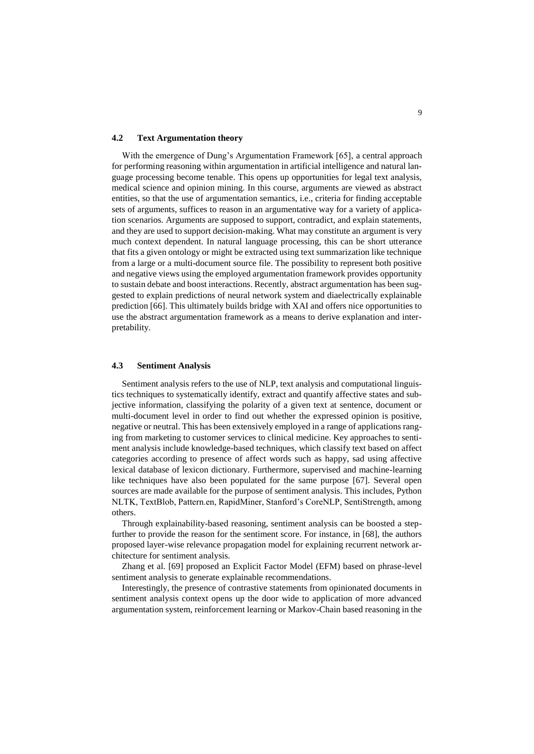### **4.2 Text Argumentation theory**

With the emergence of Dung's Argumentation Framework [65], a central approach for performing reasoning within argumentation in artificial intelligence and natural language processing become tenable. This opens up opportunities for legal text analysis, medical science and opinion mining. In this course, arguments are viewed as abstract entities, so that the use of argumentation semantics, i.e., criteria for finding acceptable sets of arguments, suffices to reason in an argumentative way for a variety of application scenarios. Arguments are supposed to support, contradict, and explain statements, and they are used to support decision-making. What may constitute an argument is very much context dependent. In natural language processing, this can be short utterance that fits a given ontology or might be extracted using text summarization like technique from a large or a multi-document source file. The possibility to represent both positive and negative views using the employed argumentation framework provides opportunity to sustain debate and boost interactions. Recently, abstract argumentation has been suggested to explain predictions of neural network system and diaelectrically explainable prediction [66]. This ultimately builds bridge with XAI and offers nice opportunities to use the abstract argumentation framework as a means to derive explanation and interpretability.

### **4.3 Sentiment Analysis**

Sentiment analysis refers to the use of NLP, text analysis and computational linguistics techniques to systematically identify, extract and quantify affective states and subjective information, classifying the polarity of a given text at sentence, document or multi-document level in order to find out whether the expressed opinion is positive, negative or neutral. This has been extensively employed in a range of applications ranging from marketing to customer services to clinical medicine. Key approaches to sentiment analysis include knowledge-based techniques, which classify text based on affect categories according to presence of affect words such as happy, sad using affective lexical database of lexicon dictionary. Furthermore, supervised and machine-learning like techniques have also been populated for the same purpose [67]. Several open sources are made available for the purpose of sentiment analysis. This includes, Python NLTK, TextBlob, Pattern.en, RapidMiner, Stanford's CoreNLP, SentiStrength, among others.

Through explainability-based reasoning, sentiment analysis can be boosted a stepfurther to provide the reason for the sentiment score. For instance, in [68], the authors proposed layer-wise relevance propagation model for explaining recurrent network architecture for sentiment analysis.

Zhang et al. [69] proposed an Explicit Factor Model (EFM) based on phrase-level sentiment analysis to generate explainable recommendations.

Interestingly, the presence of contrastive statements from opinionated documents in sentiment analysis context opens up the door wide to application of more advanced argumentation system, reinforcement learning or Markov-Chain based reasoning in the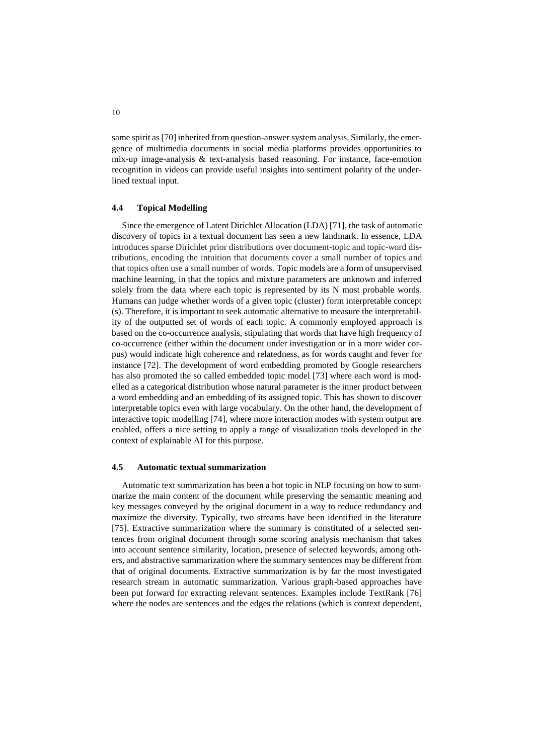same spirit as [70] inherited from question-answer system analysis. Similarly, the emergence of multimedia documents in social media platforms provides opportunities to mix-up image-analysis & text-analysis based reasoning. For instance, face-emotion recognition in videos can provide useful insights into sentiment polarity of the underlined textual input.

### **4.4 Topical Modelling**

Since the emergence of Latent Dirichlet Allocation (LDA) [71], the task of automatic discovery of topics in a textual document has seen a new landmark. In essence, LDA introduces sparse Dirichlet prior distributions over document-topic and topic-word distributions, encoding the intuition that documents cover a small number of topics and that topics often use a small number of words. Topic models are a form of unsupervised machine learning, in that the topics and mixture parameters are unknown and inferred solely from the data where each topic is represented by its N most probable words. Humans can judge whether words of a given topic (cluster) form interpretable concept (s). Therefore, it is important to seek automatic alternative to measure the interpretability of the outputted set of words of each topic. A commonly employed approach is based on the co-occurrence analysis, stipulating that words that have high frequency of co-occurrence (either within the document under investigation or in a more wider corpus) would indicate high coherence and relatedness, as for words caught and fever for instance [72]. The development of word embedding promoted by Google researchers has also promoted the so called embedded topic model [73] where each word is modelled as a categorical distribution whose natural parameter is the inner product between a word embedding and an embedding of its assigned topic. This has shown to discover interpretable topics even with large vocabulary. On the other hand, the development of interactive topic modelling [74], where more interaction modes with system output are enabled, offers a nice setting to apply a range of visualization tools developed in the context of explainable AI for this purpose.

### **4.5 Automatic textual summarization**

Automatic text summarization has been a hot topic in NLP focusing on how to summarize the main content of the document while preserving the semantic meaning and key messages conveyed by the original document in a way to reduce redundancy and maximize the diversity. Typically, two streams have been identified in the literature [75]. Extractive summarization where the summary is constituted of a selected sentences from original document through some scoring analysis mechanism that takes into account sentence similarity, location, presence of selected keywords, among others, and abstractive summarization where the summary sentences may be different from that of original documents. Extractive summarization is by far the most investigated research stream in automatic summarization. Various graph-based approaches have been put forward for extracting relevant sentences. Examples include TextRank [76] where the nodes are sentences and the edges the relations (which is context dependent,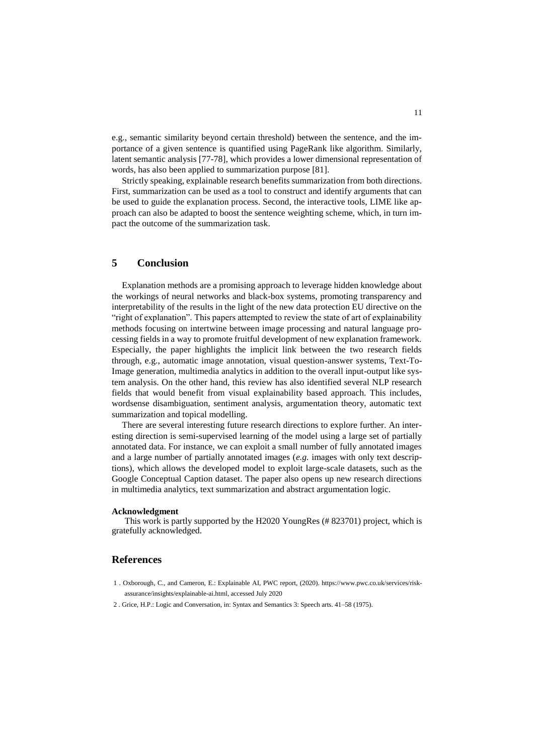e.g., semantic similarity beyond certain threshold) between the sentence, and the importance of a given sentence is quantified using PageRank like algorithm. Similarly, latent semantic analysis [77-78], which provides a lower dimensional representation of words, has also been applied to summarization purpose [81].

Strictly speaking, explainable research benefits summarization from both directions. First, summarization can be used as a tool to construct and identify arguments that can be used to guide the explanation process. Second, the interactive tools, LIME like approach can also be adapted to boost the sentence weighting scheme, which, in turn impact the outcome of the summarization task.

# **5 Conclusion**

Explanation methods are a promising approach to leverage hidden knowledge about the workings of neural networks and black-box systems, promoting transparency and interpretability of the results in the light of the new data protection EU directive on the "right of explanation". This papers attempted to review the state of art of explainability methods focusing on intertwine between image processing and natural language processing fields in a way to promote fruitful development of new explanation framework. Especially, the paper highlights the implicit link between the two research fields through, e.g., automatic image annotation, visual question-answer systems, Text-To-Image generation, multimedia analytics in addition to the overall input-output like system analysis. On the other hand, this review has also identified several NLP research fields that would benefit from visual explainability based approach. This includes, wordsense disambiguation, sentiment analysis, argumentation theory, automatic text summarization and topical modelling.

There are several interesting future research directions to explore further. An interesting direction is semi-supervised learning of the model using a large set of partially annotated data. For instance, we can exploit a small number of fully annotated images and a large number of partially annotated images (*e.g.* images with only text descriptions), which allows the developed model to exploit large-scale datasets, such as the Google Conceptual Caption dataset. The paper also opens up new research directions in multimedia analytics, text summarization and abstract argumentation logic.

#### **Acknowledgment**

This work is partly supported by the H2020 YoungRes (# 823701) project, which is gratefully acknowledged.

### **References**

- 1 . Oxborough, C., and Cameron, E.: Explainable AI, PWC report, (2020)[. https://www.pwc.co.uk/services/risk](https://www.pwc.co.uk/services/risk-assurance/insights/explainable-ai.html)[assurance/insights/explainable-ai.html,](https://www.pwc.co.uk/services/risk-assurance/insights/explainable-ai.html) accessed July 2020
- 2 . Grice, H.P.: Logic and Conversation, in: Syntax and Semantics 3: Speech arts. 41–58 (1975).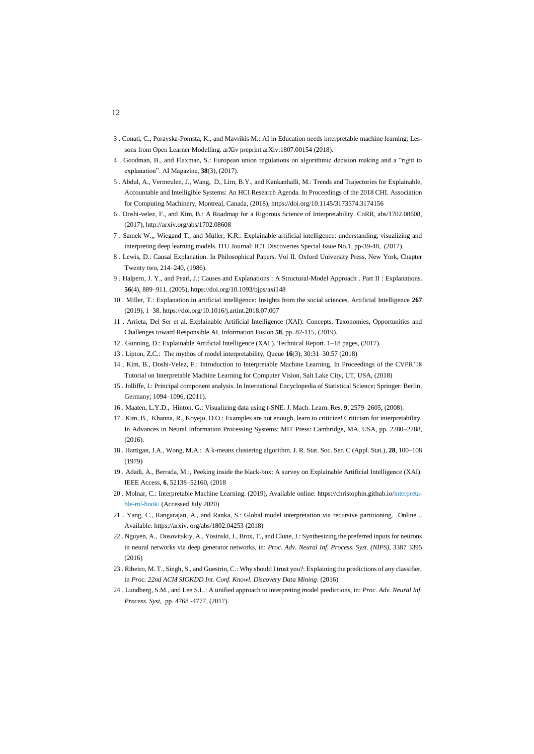- 3 . Conati, C., Porayska-Pomsta, K., and Mavrikis M.: AI in Education needs interpretable machine learning: Lessons from Open Learner Modelling. arXiv preprint arXiv:1807.00154 (2018).
- 4 . Goodman, B., and Flaxman, S.: European union regulations on algorithmic decision making and a "right to explanation". AI Magazine, **38**(3), (2017).
- 5 . Abdul, A., Vermeulen, J., Wang, D., Lim, B.Y., and Kankanhalli, M.: Trends and Trajectories for Explainable, Accountable and Intelligible Systems: An HCI Research Agenda. In Proceedings of the 2018 CHI. Association for Computing Machinery, Montreal, Canada, (2018), https://doi.org/10.1145/3173574.3174156
- 6 . Doshi-velez, F., and Kim, B.: A Roadmap for a Rigorous Science of Interpretability. CoRR, abs/1702.08608, (2017), <http://arxiv.org/abs/1702.08608>
- 7 . Samek W.,, Wiegand T., and Müller, K.R.: Explainable artificial intelligence: understanding, visualizing and interpreting deep learning models. ITU Journal: ICT Discoveries Special Issue No.1, pp-39-48, (2017).
- 8 . Lewis, D.: Causal Explanation. In Philosophical Papers. Vol II. Oxford University Press, New York, Chapter Twenty two, 214–240, (1986).
- 9 . Halpern, J. Y., and Pearl, J.: Causes and Explanations : A Structural-Model Approach . Part II : Explanations. **56**(4), 889–911. (2005), https://doi.org/10.1093/bjps/axi148
- 10 . Miller, T.: Explanation in artificial intelligence: Insights from the social sciences. Artificial Intelligence **267** (2019), 1–38. https://doi.org/10.1016/j.artint.2018.07.007
- 11 . Arrieta, Del Ser et al. Explainable Artificial Intelligence (XAI): Concepts, Taxonomies, Opportunities and Challenges toward Responsible AI, Information Fusion **58**, pp. 82-115, (2019).
- 12 . Gunning, D.: Explainable Artificial Intelligence (XAI ). Technical Report. 1–18 pages, (2017).
- 13 . Lipton, Z.C.: The mythos of model interpretability, Queue **16**(3), 30:31–30:57 (2018)
- 14 . Kim, B., Doshi-Velez, F.: Introduction to Interpretable Machine Learning. In Proceedings of the CVPR'18 Tutorial on Interpretable Machine Learning for Computer Vision, Salt Lake City, UT, USA, (2018)
- 15 . Jolliffe, I.: Principal component analysis. In International Encyclopedia of Statistical Science; Springer: Berlin, Germany; 1094–1096, (2011).
- 16 . Maaten, L.Y.D., Hinton, G.: Visualizing data using t-SNE. J. Mach. Learn. Res. **9**, 2579–2605, (2008).
- 17 . Kim, B., Khanna, R., Koyejo, O.O.: Examples are not enough, learn to criticize! Criticism for interpretability. In Advances in Neural Information Processing Systems; MIT Press: Cambridge, MA, USA, pp. 2280–2288,  $(2016)$
- 18 . Hartigan, J.A., Wong, M.A.: A k-means clustering algorithm. J. R. Stat. Soc. Ser. C (Appl. Stat.), **28**, 100–108 (1979)
- 19 . Adadi, A., Berrada, M.:, Peeking inside the black-box: A survey on Explainable Artificial Intelligence (XAI). IEEE Access, **6**, 52138–52160, (2018
- 20 . Molnar, C.: Interpretable Machine Learning. (2019), Available online[: https://christophm.github.io/in](https://christophm.github.io/)terpretable-ml-book/ (Accessed July 2020)
- 21 . Yang, C., Rangarajan, A., and Ranka, S.: Global model interpretation via recursive partitioning. Online .. Available: https://arxiv. org/abs/1802.04253 (2018)
- 22 . Nguyen, A., Dosovitskiy, A., Yosinski, J., Brox, T., and Clune, J.: Synthesizing the preferred inputs for neurons in neural networks via deep generator networks, in: *Proc. Adv. Neural Inf. Process. Syst. (NIPS)*, 3387 3395 (2016)
- 23 . Ribeiro, M. T., Singh, S., and Guestrin, C.: Why should I trust you?: Explaining the predictions of any classifier, in *Proc. 22nd ACM SIGKDD Int. Conf. Knowl. Discovery Data Mining*. (2016)
- 24 . Lundberg, S.M., and Lee S.L.: A unified approach to interpreting model predictions, in: *Proc. Adv. Neural Inf. Process. Syst*, pp. 4768 -4777, (2017).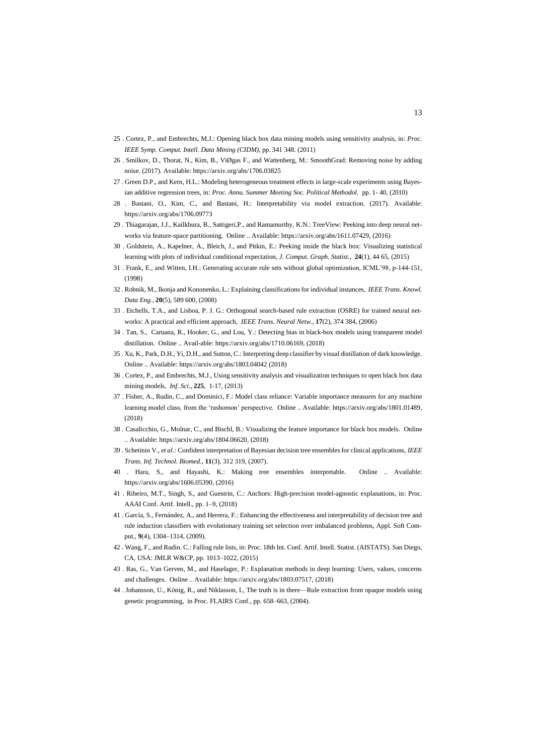- 25 . Cortez, P., and Embrechts, M.J.: Opening black box data mining models using sensitivity analysis, in: *Proc. IEEE Symp. Comput. Intell. Data Mining (CIDM)*, pp. 341 348. (2011)
- 26 . Smilkov, D., Thorat, N., Kim, B., ViØgas F., and Wattenberg, M.: SmoothGrad: Removing noise by adding noise. (2017). Available: https://arxiv.org/abs/1706.03825
- 27 . Green D.P., and Kern, H.L.: Modeling heterogeneous treatment effects in large-scale experiments using Bayesian additive regression trees, in: *Proc. Annu. Summer Meeting Soc. Political Methodol.* pp. 1- 40, (2010)
- 28 . Bastani, O., Kim, C., and Bastani, H.: Interpretability via model extraction. (2017). Available: https://arxiv.org/abs/1706.09773
- 29 . Thiagarajan, J.J., Kailkhura, B., Sattigeri,P., and Ramamurthy, K.N.: TreeView: Peeking into deep neural networks via feature-space partitioning. Online .. Available[: https://arxiv.org/abs/1611.07429,](https://arxiv.org/abs/1611.07429) (2016)
- 30 . Goldstein, A., Kapelner, A., Bleich, J., and Pitkin, E.: Peeking inside the black box: Visualizing statistical learning with plots of individual conditional expectation, *J. Comput. Graph. Statist.*, **24**(1), 44 65, (2015)
- 31 . Frank, E., and Witten, I.H.: Generating accurate rule sets without global optimization, ICML'98, p-144-151, (1998)
- 32 . Robnik, M., Ikonja and Kononenko, L.: Explaining classifications for individual instances, *IEEE Trans. Knowl. Data Eng.*, **20**(5), 589 600, (2008)
- 33 . Etchells, T.A., and Lisboa, P. J. G.: Orthogonal search-based rule extraction (OSRE) for trained neural networks: A practical and efficient approach, *IEEE Trans. Neural Netw.*, **17**(2), 374 384, (2006)
- 34 . Tan, S., Caruana, R., Hooker, G., and Lou, Y.: Detecting bias in black-box models using transparent model distillation. Online .. Avail-able[: https://arxiv.org/abs/1710.06169,](https://arxiv.org/abs/1710.06169) (2018)
- 35 . Xu, K., Park, D.H., Yi, D.H., and Sutton, C.: Interpreting deep classifier by visual distillation of dark knowledge. Online .. Available[: https://arxiv.org/abs/1803.04042](https://arxiv.org/abs/1803.04042) (2018)
- 36 . Cortez, P., and Embrechts, M.J., Using sensitivity analysis and visualization techniques to open black box data mining models, *Inf. Sci.*, **225**, 1-17, (2013)
- 37 . Fisher, A., Rudin, C., and Dominici, F.: Model class reliance: Variable importance measures for any machine learning model class, from the 'rashomon' perspective. Online .. Available: [https://arxiv.org/abs/1801.01489,](https://arxiv.org/abs/1801.01489)  (2018)
- 38 . Casalicchio, G., Molnar, C., and Bischl, B.: Visualizing the feature importance for black box models. Online .. Available[: https://arxiv.org/abs/1804.06620,](https://arxiv.org/abs/1804.06620) (2018)
- 39 . Schetinin V., *et al.:* Confident interpretation of Bayesian decision tree ensembles for clinical applications, *IEEE Trans. Inf. Technol. Biomed.*, **11**(3), 312 319, (2007).
- 40 . Hara, S., and Hayashi, K.: Making tree ensembles interpretable. Online .. Available: [https://arxiv.org/abs/1606.05390,](https://arxiv.org/abs/1606.05390) (2016)
- 41 . Ribeiro, M.T., Singh, S., and Guestrin, C.: Anchors: High-precision model-agnostic explanations, in: Proc. AAAI Conf. Artif. Intell., pp. 1–9, (2018)
- 41 . García, S., Fernández, A., and Herrera, F.: Enhancing the effectiveness and interpretability of decision tree and rule induction classifiers with evolutionary training set selection over imbalanced problems, Appl. Soft Comput., **9**(4), 1304–1314, (2009).
- 42 . Wang, F., and Rudin. C.: Falling rule lists, in: Proc. 18th Int. Conf. Artif. Intell. Statist. (AISTATS). San Diego, CA, USA: JMLR W&CP, pp. 1013–1022, (2015)
- 43 . Ras, G., Van Gerven, M., and Haselager, P.: Explanation methods in deep learning: Users, values, concerns and challenges. Online .. Available[: https://arxiv.org/abs/1803.07517,](https://arxiv.org/abs/1803.07517) (2018)
- 44 . Johansson, U., König, R., and Niklasson, I., The truth is in there—Rule extraction from opaque models using genetic programming, in Proc. FLAIRS Conf., pp. 658–663, (2004).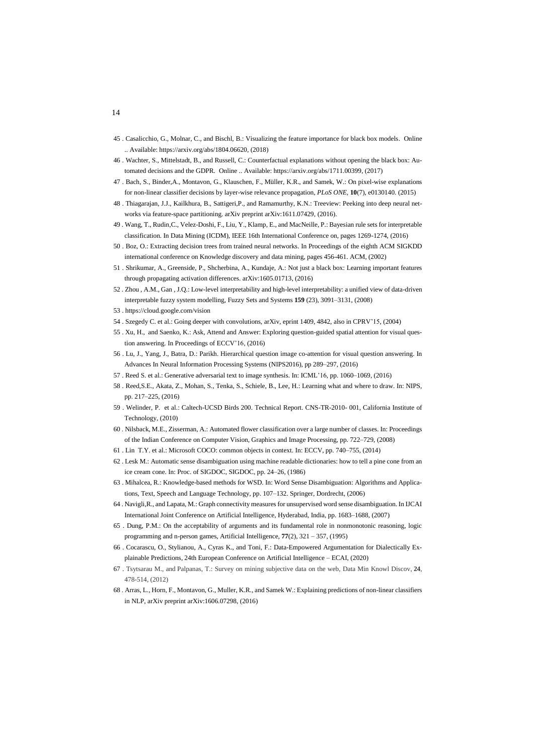- 45 . Casalicchio, G., Molnar, C., and Bischl, B.: Visualizing the feature importance for black box models. Online .. Available[: https://arxiv.org/abs/1804.06620,](https://arxiv.org/abs/1804.06620) (2018)
- 46 . Wachter, S., Mittelstadt, B., and Russell, C.: Counterfactual explanations without opening the black box: Automated decisions and the GDPR. Online .. Available[: https://arxiv.org/abs/1711.00399,](https://arxiv.org/abs/1711.00399) (2017)
- 47 . Bach, S., Binder,A., Montavon, G., Klauschen, F., Müller, K.R., and Samek, W.: On pixel-wise explanations for non-linear classifier decisions by layer-wise relevance propagation, *PLoS ONE*, **10**(7), e0130140. (2015)
- 48 . Thiagarajan, J.J., Kailkhura, B., Sattigeri,P., and Ramamurthy, K.N.: Treeview: Peeking into deep neural networks via feature-space partitioning. arXiv preprint arXiv:1611.07429, (2016).
- 49 . Wang, T., Rudin,C., Velez-Doshi, F., Liu, Y., Klamp, E., and MacNeille, P.: Bayesian rule sets for interpretable classification. In Data Mining (ICDM), IEEE 16th International Conference on, pages 1269-1274, (2016)
- 50 . Boz, O.: Extracting decision trees from trained neural networks. In Proceedings of the eighth ACM SIGKDD international conference on Knowledge discovery and data mining, pages 456-461. ACM, (2002)
- 51 . Shrikumar, A., Greenside, P., Shcherbina, A., Kundaje, A.: Not just a black box: Learning important features through propagating activation differences. [arXiv:1605.01713,](https://arxiv.org/abs/1605.01713) (2016)
- 52 . Zhou , A.M., Gan , J.Q.: Low-level interpretability and high-level interpretability: a unified view of data-driven interpretable fuzzy system modelling, Fuzzy Sets and Systems **159** (23), 3091–3131, (2008)
- 53 . <https://cloud.google.com/vision>
- 54 . Szegedy C. et al.: Going deeper with convolutions, arXiv, eprint 1409, 4842, also in CPRV'15, (2004)
- 55 . Xu, H., and Saenko, K.: Ask, Attend and Answer: Exploring question-guided spatial attention for visual question answering. In Proceedings of ECCV'16, (2016)
- 56 . Lu, J., Yang, J., Batra, D.: Parikh. Hierarchical question image co-attention for visual question answering. In Advances In Neural Information Processing Systems (NIPS2016), pp 289–297, (2016)
- 57 . Reed S. et al.: Generative adversarial text to image synthesis. In: ICML'16, pp. 1060–1069, (2016)
- 58 . Reed,S.E., Akata, Z., Mohan, S., Tenka, S., Schiele, B., Lee, H.: Learning what and where to draw. In: NIPS, pp. 217–225, (2016)
- 59 . Welinder, P. et al.: Caltech-UCSD Birds 200. Technical Report. CNS-TR-2010- 001, California Institute of Technology, (2010)
- 60 . Nilsback, M.E., Zisserman, A.: Automated flower classification over a large number of classes. In: Proceedings of the Indian Conference on Computer Vision, Graphics and Image Processing, pp. 722–729, (2008)
- 61 . Lin T.Y. et al.: Microsoft COCO: common objects in context. In: ECCV, pp. 740–755, (2014)
- 62 . Lesk M.: Automatic sense disambiguation using machine readable dictionaries: how to tell a pine cone from an ice cream cone. In: Proc. of SIGDOC, SIGDOC, pp. 24–26, (1986)
- 63 . Mihalcea, R.: Knowledge-based methods for WSD. In: Word Sense Disambiguation: Algorithms and Applications, Text, Speech and Language Technology, pp. 107–132. Springer, Dordrecht, (2006)
- 64 . Navigli,R., and Lapata, M.: Graph connectivity measures for unsupervised word sense disambiguation. In IJCAI International Joint Conference on Artificial Intelligence, Hyderabad, India, pp. 1683–1688, (2007)
- 65 . Dung, P.M.: On the acceptability of arguments and its fundamental role in nonmonotonic reasoning, logic programming and n-person games, Artificial Intelligence, **77**(2), 321 – 357, (1995)
- 66 . Cocarascu, O., Stylianou, A., Cyras K., and Toni, F.: Data-Empowered Argumentation for Dialectically Explainable Predictions, 24th European Conference on Artificial Intelligence – ECAI, (2020)
- 67 . Tsytsarau M., and Palpanas, T.: Survey on mining subjective data on the web, Data Min Knowl Discov, **24**, 478-514, (2012)
- 68 . Arras, L., Horn, F., Montavon, G., Muller, K.R., and Samek W.: Explaining predictions of non-linear classifiers in NLP, arXiv preprint arXiv:1606.07298, (2016)